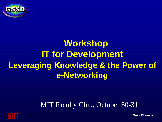

# **Workshop IT for Development Leveraging Knowledge & the Power of e-Networking**

#### MIT Faculty Club, October 30-31

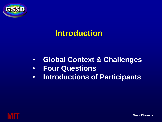

#### **Introduction**

- **Global Context & Challenges**
- **Four Questions**
- **Introductions of Participants**

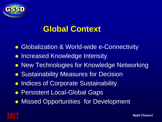

#### **Global Context**

- Globalization & World-wide e-Connectivity
- Increased Knowledge Intensity
- **New Technologies for Knowledge Networking**
- **Sustainability Measures for Decision**
- **Indices of Corporate Sustainability**
- **Persistent Local-Global Gaps**
- **Missed Opportunities for Development**

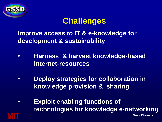

#### **Challenges**

**Improve access to IT & e-knowledge for development & sustainability**

- **Harness & harvest knowledge-based Internet-resources**
- **Deploy strategies for collaboration in knowledge provision & sharing**
- **MIT** Nazli Choucri Nazli Choucri Nazli Choucri Nazli Choucri Nazli Choucri Nazli Choucri Nazli Choucri Nazli Choucri Nazli Choucri Nazli Choucri Nazli Choucri Nazli Choucri Nazli Choucri Nazli Choucri Nazli Choucri Nazli • **Exploit enabling functions of technologies for knowledge e-networking**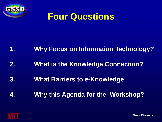

## **Four Questions**

#### **1. Why Focus on Information Technology?**

- **2. What is the Knowledge Connection?**
- **3. What Barriers to e-Knowledge**
- **4. Why this Agenda for the Workshop?**

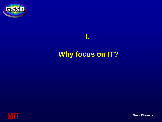

# **Why focus on IT?**

**I.** 

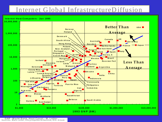#### Internet Global InfrastructureDiffusion

# **IN THE COLLEGE OF STATE OF STATE OF STATE OF STATE OF STATE OF STATE OF STATE OF STATE OF STATE OF STATE OF ST**<br> **Internet Host Computers - Jan 1995**



**G NP -W orld B ank, Host C ount - M . Lottor**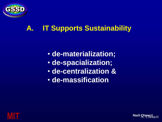

#### **A. IT Supports Sustainability**

- **de-materialization;**
- **de-spacialization;**
- **de-centralization &**
- **de-massification**



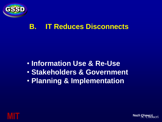

#### **B. IT Reduces Disconnects**

- **Information Use & Re-Use**
- **Stakeholders & Government**
- **Planning & Implementation**



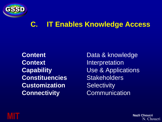

#### **C. IT Enables Knowledge Access**

**Context** Interpretation **Constituencies** Stakeholders **Customization** Selectivity **Connectivity Communication** 

**Content Data & knowledge Capability Use & Applications** 



**MIT** Nazli Choucri Nazli Choucri Nazli Choucri Nazli Choucri Nazli Choucri Nazli Choucri Nazli Choucri Nazli Choucri Nazli Choucri Nazli Choucri Nazli Choucri Nazli Choucri Nazli Choucri Nazli Choucri Nazli Choucri Nazli N. Choucri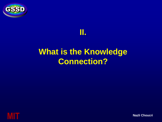



## **What is the Knowledge Connection?**

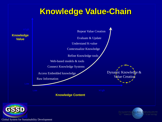#### **Knowledge Value-Chain**



Global System for Sustainability Development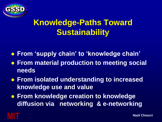

## **Knowledge-Paths Toward Sustainability**

- **From 'supply chain' to 'knowledge chain'**
- **From material production to meeting social needs**
- **From isolated understanding to increased knowledge use and value**
- **From knowledge creation to knowledge diffusion via networking & e-networking**

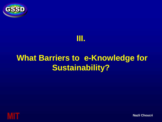



## **What Barriers to e-Knowledge for Sustainability?**

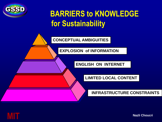

## **BARRIERS to KNOWLEDGE for Sustainability**

**CONCEPTUAL AMBIGUITIES**

**EXPLOSION of INFORMATION**

**ENGLISH ON INTERNET**

**LIMITED LOCAL CONTENT**

**INFRASTRUCTURE CONSTRAINTS**

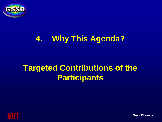

#### **4. Why This Agenda?**

## **Targeted Contributions of the Participants**

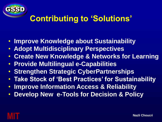

#### **Contributing to 'Solutions'**

- **Improve Knowledge about Sustainability**
- **Adopt Multidisciplinary Perspectives**
- **Create New Knowledge & Networks for Learning**
- **Provide Multilingual e-Capabilities**
- **Strengthen Strategic CyberPartnerships**
- **Take Stock of 'Best Practices' for Sustainability**
- **Improve Information Access & Reliability**
- **Develop New e-Tools for Decision & Policy**